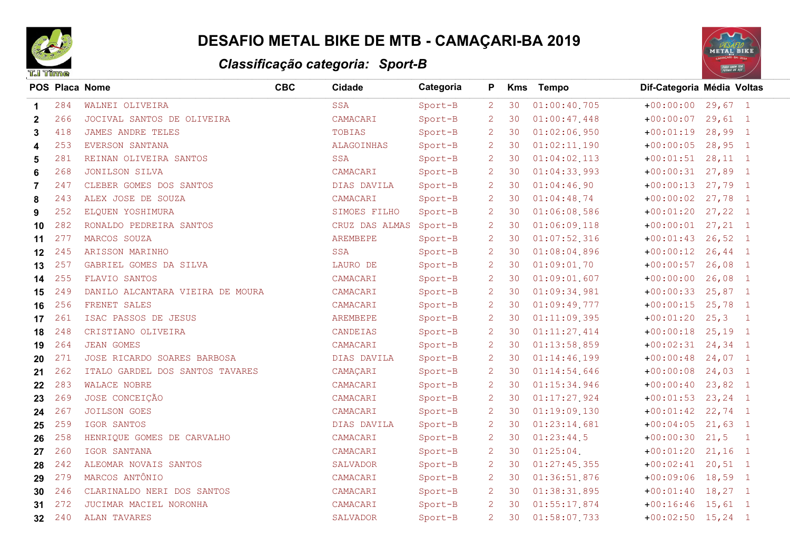

## **DESAFIO METAL BIKE DE MTB - CAMAÇARI-BA 2019**

## Classificação categoria: Sport-B



| <b>T.I Time</b> |     | Classificação categoria: Sport-B |            |                 |           |                |            |                  |                            |                |
|-----------------|-----|----------------------------------|------------|-----------------|-----------|----------------|------------|------------------|----------------------------|----------------|
|                 |     | POS Placa Nome                   | <b>CBC</b> | Cidade          | Categoria | P.             | <b>Kms</b> | <b>Tempo</b>     | Dif-Categoria Média Voltas |                |
| 1               | 284 | WALNEI OLIVEIRA                  |            | <b>SSA</b>      | Sport-B   | $\overline{2}$ | 30         | 01:00:40.705     | $+00:00:00$ 29,67 1        |                |
| $\mathbf{2}$    | 266 | JOCIVAL SANTOS DE OLIVEIRA       |            | CAMACARI        | Sport-B   | 2              | 30         | 01:00:47.448     | $+00:00:07$ 29,61 1        |                |
| 3               | 418 | <b>JAMES ANDRE TELES</b>         |            | TOBIAS          | Sport-B   | 2              | 30         | $01:02:06$ , 950 | $+00:01:19$ 28,99 1        |                |
| 4               | 253 | EVERSON SANTANA                  |            | ALAGOINHAS      | Sport-B   | 2              | 30         | 01:02:11.190     | $+00:00:05$                | $28,95$ 1      |
| 5               | 281 | REINAN OLIVEIRA SANTOS           |            | <b>SSA</b>      | Sport-B   | 2              | 30         | $01:04:02$ , 113 | $+00:01:51$ 28, 11 1       |                |
| 6               | 268 | JONILSON SILVA                   |            | CAMACARI        | Sport-B   | 2              | 30         | 01:04:33.993     | $+00:00:31$ 27,89 1        |                |
| 7               | 247 | CLEBER GOMES DOS SANTOS          |            | DIAS DAVILA     | Sport-B   | 2              | 30         | 01:04:46.90      | $+00:00:13$ 27,79 1        |                |
| 8               | 243 | ALEX JOSE DE SOUZA               |            | CAMACARI        | Sport-B   | 2              | 30         | 01:04:48.74      | $+00:00:02$ 27,78 1        |                |
| 9               | 252 | ELQUEN YOSHIMURA                 |            | SIMOES FILHO    | Sport-B   | 2              | 30         | 01:06:08.586     | $+00:01:20$ 27,22 1        |                |
| 10              | 282 | RONALDO PEDREIRA SANTOS          |            | CRUZ DAS ALMAS  | Sport-B   | 2              | 30         | $01:06:09$ 118   | $+00:00:01$ 27, 21 1       |                |
| 11              | 277 | MARCOS SOUZA                     |            | AREMBEPE        | Sport-B   | 2              | 30         | 01:07:52.316     | $+00:01:43$ 26,52 1        |                |
| $12 \,$         | 245 | ARISSON MARINHO                  |            | <b>SSA</b>      | Sport-B   | 2              | 30         | 01:08:04.896     | $+00:00:12$                | $26, 44$ 1     |
| 13              | 257 | GABRIEL GOMES DA SILVA           |            | LAURO DE        | Sport-B   | 2              | 30         | 01:09:01.70      | $+00:00:57$ 26,08 1        |                |
| 14              | 255 | FLAVIO SANTOS                    |            | CAMACARI        | Sport-B   | 2              | 30         | 01:09:01.607     | $+00:00:00$                | $26,08$ 1      |
| 15              | 249 | DANILO ALCANTARA VIEIRA DE MOURA |            | CAMACARI        | Sport-B   | 2              | 30         | 01:09:34.981     | $+00:00:33$ 25,87 1        |                |
| 16              | 256 | FRENET SALES                     |            | CAMACARI        | Sport-B   | 2              | 30         | 01:09:49.777     | $+00:00:15$ 25,78 1        |                |
| 17              | 261 | ISAC PASSOS DE JESUS             |            | AREMBEPE        | Sport-B   | 2              | 30         | 01:11:09.395     | $+00:01:20$ 25,3 1         |                |
| 18              | 248 | CRISTIANO OLIVEIRA               |            | CANDEIAS        | Sport-B   | 2              | 30         | 01:11:27.414     | $+00:00:18$ 25,19 1        |                |
| 19              | 264 | <b>JEAN GOMES</b>                |            | CAMACARI        | Sport-B   | 2              | 30         | 01:13:58.859     | $+00:02:31$ 24,34 1        |                |
| 20              | 271 | JOSE RICARDO SOARES BARBOSA      |            | DIAS DAVILA     | Sport-B   | 2              | 30         | 01:14:46.199     | $+00:00:48$                | $24,07$ 1      |
| 21              | 262 | ITALO GARDEL DOS SANTOS TAVARES  |            | CAMAÇARI        | Sport-B   | 2              | 30         | 01:14:54.646     | $+00:00:08$ 24,03 1        |                |
| 22              | 283 | WALACE NOBRE                     |            | CAMACARI        | Sport-B   | 2              | 30         | 01:15:34.946     | $+00:00:40$ 23,82 1        |                |
| 23              | 269 | JOSE CONCEIÇÃO                   |            | CAMACARI        | Sport-B   | 2              | 30         | 01:17:27.924     | $+00:01:53$ 23, 24 1       |                |
| 24              | 267 | <b>JOILSON GOES</b>              |            | CAMACARI        | Sport-B   | 2              | 30         | 01:19:09.130     | $+00:01:42$ 22,74 1        |                |
| 25              | 259 | IGOR SANTOS                      |            | DIAS DAVILA     | Sport-B   | 2              | 30         | 01:23:14.681     | $+00:04:05$ 21,63 1        |                |
| 26              | 258 | HENRIQUE GOMES DE CARVALHO       |            | CAMACARI        | Sport-B   | 2              | 30         | 01:23:44.5       | $+00:00:30$ 21,5           | $\overline{1}$ |
| 27              | 260 | IGOR SANTANA                     |            | CAMACARI        | Sport-B   | 2              | 30         | $01:25:04$ .     | $+00:01:20$                | $21,16$ 1      |
| 28              | 242 | ALEOMAR NOVAIS SANTOS            |            | <b>SALVADOR</b> | Sport-B   | 2              | 30         | 01:27:45.355     | $+00:02:41$ 20,51 1        |                |
| 29              | 279 | MARCOS ANTÔNIO                   |            | CAMACARI        | Sport-B   | 2              | 30         | 01:36:51.876     | $+00:09:06$ 18,59 1        |                |
| 30              | 246 | CLARINALDO NERI DOS SANTOS       |            | CAMACARI        | Sport-B   | $\overline{2}$ | 30         | 01:38:31.895     | $+00:01:40$ 18,27 1        |                |
| 31              | 272 | JUCIMAR MACIEL NORONHA           |            | CAMACARI        | Sport-B   | 2              | 30         | 01:55:17.874     | $+00:16:46$ 15,61 1        |                |
| 32              | 240 | ALAN TAVARES                     |            | SALVADOR        | Sport-B   | $\overline{2}$ | 30         | 01:58:07.733     | $+00:02:50$ 15,24 1        |                |
|                 |     |                                  |            |                 |           |                |            |                  |                            |                |